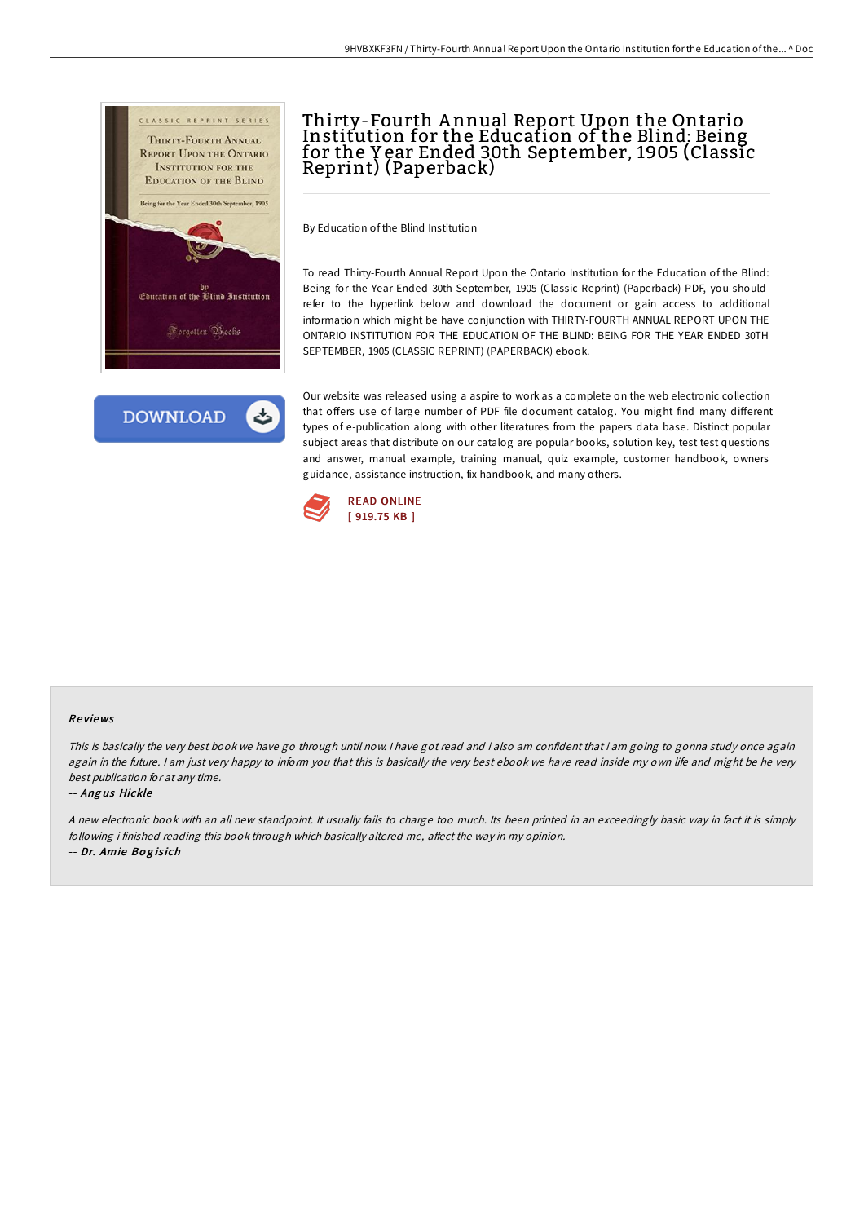



# Thirty-Fourth A nnual Report Upon the Ontario Institution for the Education of the Blind: Being for the Y ear Ended 30th September, 1905 (Classic Reprint) (Paperback)

By Education of the Blind Institution

To read Thirty-Fourth Annual Report Upon the Ontario Institution for the Education of the Blind: Being for the Year Ended 30th September, 1905 (Classic Reprint) (Paperback) PDF, you should refer to the hyperlink below and download the document or gain access to additional information which might be have conjunction with THIRTY-FOURTH ANNUAL REPORT UPON THE ONTARIO INSTITUTION FOR THE EDUCATION OF THE BLIND: BEING FOR THE YEAR ENDED 30TH SEPTEMBER, 1905 (CLASSIC REPRINT) (PAPERBACK) ebook.

Our website was released using a aspire to work as a complete on the web electronic collection that offers use of large number of PDF file document catalog. You might find many different types of e-publication along with other literatures from the papers data base. Distinct popular subject areas that distribute on our catalog are popular books, solution key, test test questions and answer, manual example, training manual, quiz example, customer handbook, owners guidance, assistance instruction, fix handbook, and many others.



#### Re views

This is basically the very best book we have go through until now. <sup>I</sup> have got read and i also am confident that i am going to gonna study once again again in the future. I am just very happy to inform you that this is basically the very best ebook we have read inside my own life and might be he very best publication for at any time.

#### -- Ang us Hickle

<sup>A</sup> new electronic book with an all new standpoint. It usually fails to charge too much. Its been printed in an exceedingly basic way in fact it is simply following i finished reading this book through which basically altered me, affect the way in my opinion. -- Dr. Amie Bo g is ich